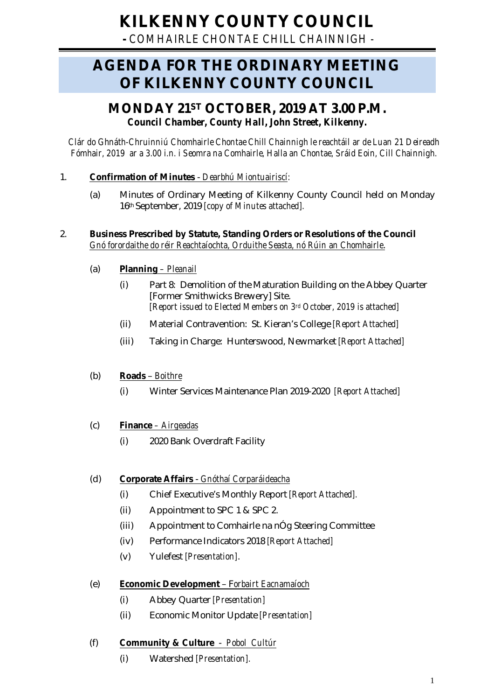# **KILKENNY COUNTY COUNCIL**

**-** *COMHAIRLE CHONTAE CHILL CHAINNIGH -*

# **AGENDA FOR THE ORDINARY MEETING OF KILKENNY COUNTY COUNCIL**

# **MONDAY 21ST OCTOBER, 2019 AT 3.00 P.M.** *Council Chamber, County Hall, John Street, Kilkenny.*

*Clár do Ghnáth-Chruinniú Chomhairle Chontae Chill Chainnigh le reachtáil ar de Luan 21 Deireadh Fómhair, 2019 ar a 3.00 i.n. i Seomra na Comhairle, Halla an Chontae, Sráid Eoin, Cill Chainnigh.*

# 1. **Confirmation of Minutes** - *Dearbhú Miontuairiscí:*

(a) Minutes of Ordinary Meeting of Kilkenny County Council held on Monday 16th September, 2019 *[copy of Minutes attached].*

#### 2. **Business Prescribed by Statute, Standing Orders or Resolutions of the Council** *Gnó forordaithe do réir Reachtaíochta, Orduithe Seasta, nó Rúin an Chomhairle*.

- (a) **Planning** *– Pleanail*
	- (i) Part 8: Demolition of the Maturation Building on the Abbey Quarter [Former Smithwicks Brewery] Site. *[Report issued to Elected Members on 3rd October, 2019 is attached]*
	- (ii) Material Contravention: St. Kieran's College *[Report Attached]*
	- (iii) Taking in Charge: Hunterswood, Newmarket *[Report Attached]*

# (b) **Roads** – *Boithre*

(i) Winter Services Maintenance Plan 2019-2020 *[Report Attached]*

# (c) **Finance** *– Airgeadas*

(i) 2020 Bank Overdraft Facility

# (d) **Corporate Affairs** - *Gnóthaí Corparáideacha*

- (i) Chief Executive's Monthly Report *[Report Attached].*
- (ii) Appointment to SPC 1 & SPC 2.
- (iii) Appointment to Comhairle na nÓg Steering Committee
- (iv) Performance Indicators 2018 *[Report Attached]*
- (v) Yulefest *[Presentation]*.

# (e) **Economic Development** – F*orbairt Eacnamaíoch*

- (i) Abbey Quarter *[Presentation]*
- (ii) Economic Monitor Update *[Presentation]*

# (f) **Community & Culture** - *Pobol Cultúr*

(i) Watershed *[Presentation].*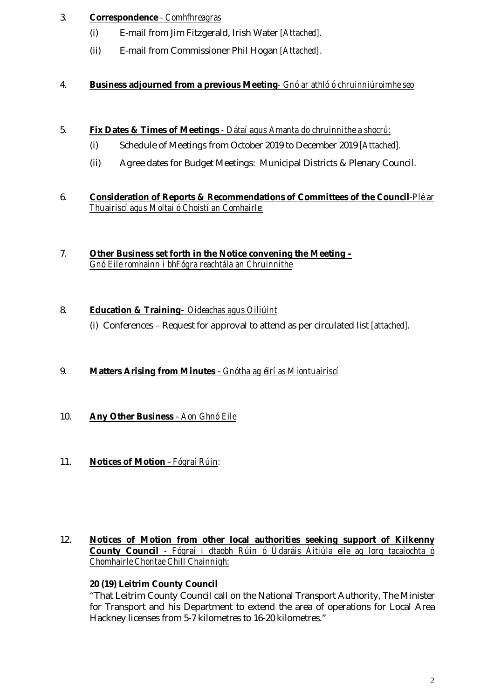# 3. **Correspondence** *- Comhfhreagras*

- (i) E-mail from Jim Fitzgerald, Irish Water *[Attached].*
- (ii) E-mail from Commissioner Phil Hogan *[Attached].*

# 4. **Business adjourned from a previous Meeting***- Gnó ar athló ó chruinniúroimhe seo*

#### 5. **Fix Dates & Times of Meetings** *- Dátaí agus Amanta do chruinnithe a shocrú:*

- (i) Schedule of Meetings from October 2019 to December 2019 *[Attached].*
- (ii) Agree dates for Budget Meetings: Municipal Districts & Plenary Council.
- 6. **Consideration of Reports & Recommendations of Committees of the Council***-Plé ar Thuairiscí agus Moltaí ó Choistí an Comhairle:*
- 7. **Other Business set forth in the Notice convening the Meeting –** *Gnó Eile romhainn i bhFógra reachtála an Chruinnithe*

# 8. **Education & Training***– Oideachas agus Oiliúint* (i) Conferences – Request for approval to attend as per circulated list *[attached].*

# 9. **Matters Arising from Minutes** - *Gnótha ag éirí as Miontuairiscí*

- 10. **Any Other Business** *Aon Ghnó Eile*
- 11. **Notices of Motion**  *Fógraí Rúin:*

#### 12. **Notices of Motion from other local authorities seeking support of Kilkenny County Council** *- Fógraí i dtaobh Rúin ó Údaráis Áitiúla eile ag lorg tacaíochta ó Chomhairle Chontae Chill Chainnigh:*

# **20 (19) Leitrim County Council**

"That Leitrim County Council call on the National Transport Authority, The Minister for Transport and his Department to extend the area of operations for Local Area Hackney licenses from 5-7 kilometres to 16-20 kilometres."